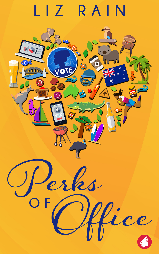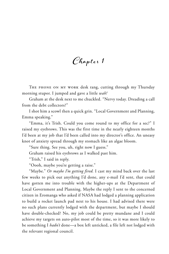**Chapter 1**

The phone on my work desk rang, cutting through my Thursday morning stupor. I jumped and gave a little *wah!*

Graham at the desk next to me chuckled. "Nervy today. Dreading a call from the debt collectors?"

I shot him a scowl then a quick grin. "Local Government and Planning, Emma speaking."

"Emma, it's Trish. Could you come round to my office for a sec?" I raised my eyebrows. This was the first time in the nearly eighteen months I'd been at my job that I'd been called into my director's office. An uneasy knot of anxiety spread through my stomach like an algae bloom.

"Sure thing. See you, uh, right now I guess."

Graham raised his eyebrows as I walked past him.

"Trish," I said in reply.

"Oooh, maybe you're getting a raise."

"Maybe." *Or maybe I'm getting fired.* I cast my mind back over the last few weeks to pick out anything I'd done, any e-mail I'd sent, that could have gotten me into trouble with the higher-ups at the Department of Local Government and Planning. Maybe the reply I sent to the concerned citizen in Eromanga who asked if NASA had lodged a planning application to build a rocket launch pad next to his house. I had advised there were no such plans currently lodged with the department, but maybe I should have double-checked? No, my job could be pretty mundane and I could achieve my targets on auto-pilot most of the time, so it was more likely to be something I *hadn't* done—a box left unticked, a file left not lodged with the relevant regional council.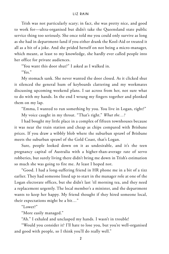Trish was not particularly scary; in fact, she was pretty nice, and good to work for—ultra-organised but didn't take the Queensland state public service thing too seriously. She once told me you could only survive as long as she had in department-land if you either drank the Kool-Aid or treated it all as a bit of a joke. And she prided herself on not being a micro-manager, which meant, at least to my knowledge, she hardly ever called people into her office for private audiences.

"You want this door shut?" I asked as I walked in.

"Yes."

My stomach sank. She never wanted the door closed. As it clicked shut it silenced the general hum of keyboards clattering and my workmates discussing upcoming weekend plans. I sat across from her, not sure what to do with my hands. In the end I wrung my fingers together and plonked them on my lap.

"Emma, I wanted to run something by you. You live in Logan, right?" My voice caught in my throat. "That's right." *What the…?*

I had bought my little place in a complex of fifteen townhouses because it was near the train station and cheap as chips compared with Brisbane prices. If you draw a wibbly blob where the suburban sprawl of Brisbane meets the suburban sprawl of the Gold Coast, that's Logan.

Sure, people looked down on it as undesirable, and it's the teen pregnancy capital of Australia with a higher-than-average rate of servo robberies, but surely living there didn't bring me down in Trish's estimation so much she was going to fire me. At least I hoped not.

"Good. I had a long-suffering friend in HR phone me in a bit of a tizz earlier. They had someone lined up to start in the manager role at one of the Logan electorate offices, but she didn't last 'til morning tea, and they need a replacement urgently. The local member's a minister, and the department wants to keep her happy. My friend thought if they hired someone local, their expectations might be a bit…"

"Lower?"

"More easily managed."

"Ah." I exhaled and unclasped my hands. I wasn't in trouble!

"Would you consider it? I'll hate to lose you, but you're well-organised and good with people, so I think you'll do really well."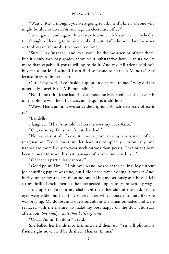"Wait… Me? I thought you were going to ask me if I knew anyone who might be able to do it. *Me*, manage an electorate office?"

I wrung my hands again. It was way too much. My stomach clenched at the thought of having to rouse on subordinate staff who were late for work or took cigarette breaks that were too long.

"Sure. I say 'manage,' and, yes, you'll be the most senior officer there, but it's only two pay grades above your substantive here. I think you're more than capable if you're willing to do it. And my HR friend said he'd buy me a bottle of wine if I can find someone to start on Monday." She leaned forward in her chair.

Out of my swirl of confusion a question occurred to me. "Why did the other lady leave? Is the MP impossible?"

"No, I don't think she had time to meet the MP. Feedback she gave HR on the phone was the office was, and I quote, a 'shithole'."

"Wow. That's an, um, evocative description. Which electorate office is it?"

"Landells."

I laughed. "That 'shithole' is literally over my back fence."

"Oh, er, sorry. I'm sure it's not that bad."

"No worries at all! Look, it's not a posh area by any stretch of the imagination. People wear mullet haircuts completely unironically and nannas are more likely to wear neck tattoos than pearls. That might have been enough to scare this last manager off if she's not used to it."

"Or if she's particularly snooty."

"Good point. Um…" I bit my lip and looked at the ceiling. My current job shuffling papers was fine, but I didn't see myself doing it forever. And, buried under my anxiety about no one taking me seriously as a boss, I felt a tiny thrill of excitement at the unexpected opportunity thrown my way.

I sat up straighter in my chair. On the other side of the desk Trish's eyes were wide and her fingers were intertwined loosely, almost like she was praying. My doubts and questions about the situation faded and were replaced with the instinct to make my boss happy on the slow Thursday afternoon. *She really wants that bottle of wine.*

"Okay, I'm in. I'll do it," I said.

She balled her hands into fists and held them up. "Yes! I'll phone my friend right now. He'll be thrilled. Thanks, Emma."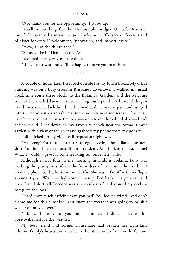"No, thank you for the opportunity." I stood up.

"You'll be working for the Honourable Bridget O'Keefe, Minister for…" She grabbed a scrawled-upon sticky note. "Corrective Services and Minister for State Development, Innovation, and Infrastructure."

"Wow, all of the things then."

"Sounds like it. Thanks again. And…"

I stopped on my way out the door.

"If it doesn't work out, I'll be happy to have you back here."

\* \* \*

A couple of hours later I stepped outside for my lunch break. My office building was on a busy street in Brisbane's downtown. I walked my usual break-time route three blocks to the Botanical Gardens and the welcome cool of the shaded lawns next to the big duck ponds. A bearded dragon lizard the size of a dachshund made a mad dash across the path and jumped into the pond with a splash, making a woman near me scream. She must have been a tourist because the locals—human and duck-kind alike—didn't bat an eyelid. I sat down on my favourite bench near the formal flower garden with a view of the river and grabbed my phone from my pocket.

Polly picked up my video-call request straightaway.

"Heeeeeey! You're a sight for sore eyes. Loving the collared business shirt! You look like a regional flight attendant. And look at that sunshine! What I wouldn't give for some freaking sun once in a while."

Although it was four in the morning in Dublin, Ireland, Polly was working the graveyard shift on the front desk of the hostel she lived at. I drew my phone back a bit to see my outfit. She wasn't far off with her flight attendant jibe. With my light-brown hair pulled back in a ponytail and my collared shirt, all I needed was a faux-silk scarf tied around my neck to complete the look.

"Hah! How much caffeine have you had? You looked wired. And don't blame me for this sunshine. You knew the weather was going to be shit when you moved over."

"I know, I know. But you know damn well I didn't move to this potatoville hell for the weather."

My best friend and former housemate had broken her tight-knit Filipino family's hearts and moved to the other side of the world for one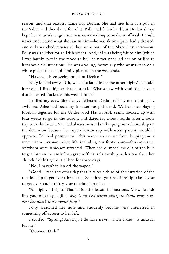reason, and that reason's name was Declan. She had met him at a pub in the Valley and they dated for a bit. Polly had fallen hard but Declan always kept her at arm's length and was never willing to make it official. I could never understand what she saw in him—he was skinny, pale, badly dressed, and only watched movies if they were part of the Marvel universe—but Polly was a sucker for an Irish accent. And, if I was being fair to him (which I was hardly ever in the mood to be), he never once led her on or lied to her about his intentions. He was a young, horny guy who wasn't keen on a white picket fence and family picnics on the weekends.

"Have you been seeing much of Declan?"

Polly looked away. "Uh, we had a late dinner the other night," she said, her voice I little higher than normal. "What's new with you? You haven't drunk-texted Fuckface this week I hope."

I rolled my eyes. She always deflected Declan talk by mentioning my awful ex. Ailee had been my first serious girlfriend. We had met playing football together for the Underwood Hawks AFL team, hooked up with four weeks to go in the season, and dated for three months after a footy trip to Airlie Beach. She had always insisted on keeping our relationship on the down-low because her super-Korean super-Christian parents wouldn't approve. Pol had pointed out this wasn't an excuse from keeping me a secret from *everyone* in her life, including our footy team—three-quarters of whom were same-sex attracted. When she dumped me out of the blue to get into an instantly Instagram-official relationship with a boy from her church I didn't get out of bed for three days.

"No, I haven't fallen off the wagon."

"Good. I read the other day that it takes a third of the duration of the relationship to get over a break-up. So a three-year relationship takes a year to get over, and a thirty-year relationship takes—"

"All right, all right. Thanks for the lesson in fractions, Miss. Sounds like you've been googling *Why is my best friend taking so damn long to get over her dumb three-month fling?*"

Polly scratched her nose and suddenly became very interested in something off-screen to her left.

I scoffed. "Sprung! Anyway, I do have news, which I know is unusual for me."

"Oooooo! Dish."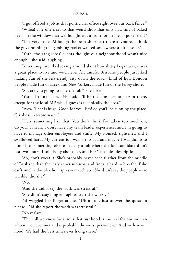"I got offered a job at that politician's office right over our back fence."

"Whoa! The one next to that weird shop that only had tins of baked beans in the window that we thought was a front for an illegal poker den?"

"The very same. Although the bean shop isn't there anymore. I think the guys running the gambling racket wanted somewhere a bit classier."

"Yeah, the gang-lords' clients thought our neighbourhood wasn't nice enough," she said laughing.

Even though we liked joking around about how shitty Logan was, it was a great place to live and we'd never felt unsafe. Brisbane people just liked making fun of the less-trendy city down the road—kind of how London people made fun of Essex and New Yorkers made fun of the Jersey shore.

"So, are you going to take the job?" she asked.

"Yeah, I think I am. Trish said I'll be the most senior person there, except for the local MP who I guess is technically the boss."

"Wow! That is huge. Good for you, Em! So you'll be running the place. Girl-boss extraordinaire!"

"Hah, something like that. You don't think I've taken too much on, do you? I mean, I don't have any team leader experience, and I'm going to have to manage other employees and stuff." My stomach tightened and I swallowed hard. My current job wasn't too bad and maybe I was dumb to jump into something else, especially a job where the last candidate didn't last two hours. I told Polly about her, and her "shithole" description.

"Ah, don't sweat it. She's probably never been further from the middle of Brisbane than the leafy inner suburbs, and finds it hard to breathe if she can't smell a double-shot espresso macchiato. She didn't say the people were terrible, did she?"

" $No.$ "

"And she didn't say the work was stressful?"

"She didn't stay long enough to start the work…"

Pol waggled her finger at me. "Uh-uh-uh, just answer the question please. Did she report the work was stressful?"

"No ma'am."

"Then all we know for sure is that our hood is too real for one woman who we've never met and is probably the worst person ever. And we love our hood. We had the best times ever living there."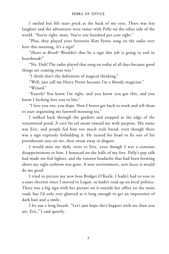I smiled but felt tears prick at the back of my eyes. There was less laughter and the adventures were tamer with Polly on the other side of the world. "You're right, mate. You're one hundred per cent right."

"Plus, they played your favourite Kim Petras song on the radio over here this morning. It's a sign!'

"*Heart to Break*? Wouldn't that be a sign this job is going to end in heartbreak?"

"No. Duh! The radio played that song on today of all days because good things are coming your way."

"I think that's the definition of magical thinking."

"Well, just call me Harry Potter because I'm a bloody magician."

"Wizard."

"Exactly! You know I'm right, and you know you got this, and you know I fucking love you to bits."

"I love you too, you dope. Now I better get back to work and tell them to start organising my farewell morning tea."

I walked back through the gardens and stopped at the edge of the ornamental pond. A very fat eel swam toward me with purpose. His name was Eric, and people fed him too much stale bread, even though there was a sign expressly forbidding it. He turned his head to fix one of his protuberant eyes on me, then swam away in disgust.

I would miss my daily visits to Eric, even though I was a constant disappointment to him. I bounced on the balls of my feet. Polly's pep talk had made me feel lighter, and the tension headache that had been forming above my right eyebrow was gone. A new environment, new faces; it would do me good.

I tried to picture my new boss Bridget O'Keefe. I hadn't had to vote in a state election since I moved to Logan, so hadn't read up on local politics. There was a big sign with her picture on it outside her office on the main road, but I'd only ever glanced at it long enough to get an impression of dark hair and a smile.

I let out a long breath. "Let's just hope she's happier with me than you are, Eric," I said quietly.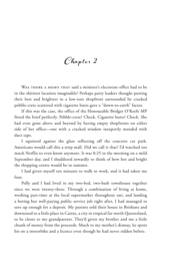**Chapter 2**

WAS THERE A MEMO THAT said a minister's electorate office had to be in the shittiest location imaginable? Perhaps party leaders thought putting their best and brightest in a low-rent shopfront surrounded by cracked pebble-crete scattered with cigarette butts gave a "down-to-earth" factor.

If this was the case, the office of the Honourable Bridget O'Keefe MP fitted the brief perfectly. Pebble-crete? Check. Cigarette butts? Check. She had even gone above and beyond by having empty shopfronts on either side of her office—one with a cracked window inexpertly mended with duct tape.

I squinted against the glare reflecting off the concrete car park. Americans would call this a strip mall. Did we call it that? I'd watched too much Netflix to even know anymore. It was 8:25 in the morning on a mild September day, and I shuddered inwardly to think of how hot and bright the shopping centre would be in summer.

I had given myself ten minutes to walk to work, and it had taken me four.

Polly and I had lived in my two-bed, two-bath townhouse together since we were twenty-three. Through a combination of living at home, working part-time at the local supermarket throughout uni, and landing a boring but well-paying public service job right after, I had managed to save up enough for a deposit. My parents sold their house in Brisbane and downsized to a little place in Cairns, a city in tropical far-north Queensland, to be closer to my grandparents. They'd given my brother and me a little chunk of money from the proceeds. Much to my mother's dismay, he spent his on a motorbike and a licence even though he had never ridden before.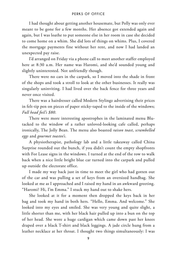I had thought about getting another housemate, but Polly was only ever meant to be gone for a few months. Her absence got extended again and again, but I was loathe to put someone else in her room in case she decided to come home on a whim. She did lots of things on whims. Plus, I covered the mortgage payments fine without her rent, and now I had landed an unexpected pay raise.

I'd arranged on Friday via a phone call to meet another staffer employed here at 8:30 a.m. Her name was Haromi, and she'd sounded young and slightly uninterested. Not unfriendly though.

There were no cars in the carpark, so I moved into the shade in front of the shops and took a stroll to look at the other businesses. It really was singularly uninviting. I had lived over the back fence for three years and never once visited.

There was a hairdresser called Modern Stylingz advertising their prices in felt-tip pen on pieces of paper sticky-taped to the inside of the windows; *Full head foil's \$80*.

There were more interesting apostrophes in the laminated menu Blutacked to the window of a rather unloved-looking cafe called, perhaps ironically, The Jolly Bean. The menu also boasted *raison toast*, *scrambelled eggs* and *gourmet toastee's*.

A physiotherapist, pathology lab and a little takeaway called China Surprise rounded out the bunch, if you didn't count the empty shopfronts with For Lease signs in the windows. I turned at the end of the row to walk back when a nice little bright blue car turned into the carpark and pulled up outside the electorate office.

I made my way back just in time to meet the girl who had gotten out of the car and was pulling a set of keys from an oversized handbag. She looked at me as I approached and I raised my hand in an awkward greeting. "Haromi? Hi, I'm Emma." I stuck my hand out to shake hers.

She looked at it for a moment then dropped the keys back in her bag and took my hand in both hers. "Hello, Emma. And welcome." She looked into my eyes and smiled. She was very young and quite slight, a little shorter than me, with her black hair pulled up into a bun on the top of her head. She wore a huge cardigan which came down past her knees draped over a black T-shirt and black leggings. A jade circle hung from a leather necklace at her throat. I thought two things simultaneously: I was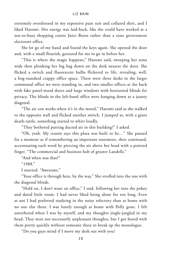extremely overdressed in my expensive pant suit and collared shirt, and I liked Haromi. Her energy was laid-back, like she could have worked at a not-so-busy shopping centre Juice Boost rather than a state government electorate office.

She let go of my hand and found the keys again. She opened the door and, with a small flourish, gestured for me to go in before her.

"This is where the magic happens," Haromi said, sweeping her arms wide then plonking her big bag down on the desk nearest the door. She flicked a switch and fluorescent bulbs flickered to life, revealing, well, a bog-standard crappy office space. There were three desks in the larger communal office we were standing in, and two smaller offices at the back with fake panel-wood doors and large windows with horizontal blinds for privacy. The blinds in the left-hand office were hanging down at a jaunty diagonal.

"The air con works when it's in the mood," Haromi said as she walked to the opposite wall and flicked another switch. I jumped as, with a giant death-rattle, something started to whirr loudly.

"They bothered putting ducted air in this building?" I asked.

"Oh, yeah. My cousin says this plaza was built to be…" She paused for a moment as if remembering an important statement, then continued, accentuating each word by piercing the air above her head with a pointed finger. "The commercial and business hub of greater Landells."

"And when was that?"

 $"1988"$ 

I snorted. "Awesome."

"Your office is through here, by the way." She strolled into the one with the diagonal blinds.

"Hold on, I don't want an office," I said, following her into the pokey and dated little room. I had never liked being alone for too long. Even at uni I had preferred studying in the noisy refectory than at home with no one else there. I was lonely enough at home with Polly gone. I felt untethered when I was by myself, and my thoughts jingle-jangled in my head. They were not necessarily unpleasant thoughts, but I got bored with them pretty quickly without someone there to break up the monologue.

"Do you guys mind if I move my desk out with you?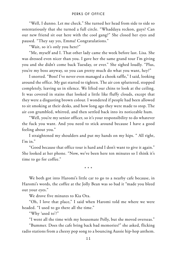"Well, I dunno. Let me check." She turned her head from side to side so ostentatiously that she turned a full circle. "Whaddaya reckon, guys? Can our new friend sit out here with the cool gang?" She closed her eyes and paused. "They say yes, Emma! Congratulations."

"Wait, so it's only you here?"

"Me, myself and I. That other lady came the week before last. Lisa. She was dressed even nicer than you. I gave her the same grand tour I'm giving you and she didn't come back Tuesday, or ever." She sighed loudly. "Plus, you're my boss anyway, so you can pretty much do what you want, hey?"

I snorted. "Boss! I've never even managed a chook raffle," I said, looking around the office. My gut started to tighten. The air con spluttered, stopped completely, leaving us in silence. We lifted our chins to look at the ceiling. It was covered in stains that looked a little like fluffy clouds, except that they were a disgusting brown colour. I wondered if people had been allowed to sit smoking at their desks, and how long ago they were made to stop. The air con grumbled, whirred, and then settled back into its noticeable hum.

"Well, you're my senior officer, so it's your responsibility to do whatever the fuck you want. And you need to stick around because I have a good feeling about you."

I straightened my shoulders and put my hands on my hips. " All right, I'm in."

"Good because that office tour is hard and I don't want to give it again." She looked at her phone. "Now, we've been here ten minutes so I think it's time to go for coffee."

\* \* \*

We both got into Haromi's little car to go to a nearby cafe because, in Haromi's words, the coffee at the Jolly Bean was so bad it "made you bleed out your eyes."

We drove five minutes to Kia Ora.

"Oh, I love that place," I said when Haromi told me where we were headed. "I used to go there all the time."

"Why 'used to'?"

"I went all the time with my housemate Polly, but she moved overseas."

"Bummer. Does the cafe bring back bad memories?" she asked, flicking radio stations from a cheesy pop song to a bouncing Aussie hip-hop anthem.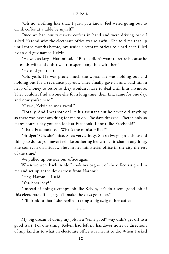"Oh no, nothing like that. I just, you know, feel weird going out to drink coffee at a table by myself."

Once we had our takeaway coffees in hand and were driving back I asked Haromi why the electorate office was so awful. She told me that up until three months before, my senior electorate officer role had been filled by an old guy named Kelvin.

"He was so lazy," Haromi said. "But he didn't want to retire because he hates his wife and didn't want to spend any time with her."

"He told you that?"

"Oh, yeah. He was pretty much the worst. He was holding out and holding out for a severance pay-out. They finally gave in and paid him a heap of money to retire so they wouldn't have to deal with him anymore. They couldn't find anyone else for a long time, then Lisa came for one day, and now you're here."

"Gawd, Kelvin sounds awful."

"Totally. And I was sort of like his assistant but he never did anything so there was never anything for me to do. The days dragged. There's only so many hours a day you can look at Facebook. I don't like Facebook!"

"I hate Facebook too. What's the minister like?"

"Bridget? Oh, she's nice. She's very…busy. She's always got a thousand things to do, so you never feel like bothering her with chit-chat or anything. She comes in on Fridays. She's in her ministerial office in the city the rest of the time."

We pulled up outside our office again.

When we were back inside I took my bag out of the office assigned to me and set up at the desk across from Haromi's.

"Hey, Haromi," I said.

"Yes, boss-lady?"

"Instead of doing a crappy job like Kelvin, let's do a semi-good job of this electorate office gig. It'll make the days go faster."

"I'll drink to that," she replied, taking a big swig of her coffee.

\* \* \*

My big dream of doing my job in a "semi-good" way didn't get off to a good start. For one thing, Kelvin had left no handover notes or directions of any kind as to what an electorate office was meant to do. When I asked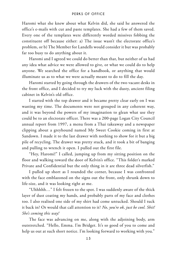Haromi what she knew about what Kelvin did, she said he answered the office's e-mails with cut and paste templates. She had a few of them saved. Every one of the templates were differently worded missives fobbing the constituent off because either: a) The issue wasn't the electorate office's problem, or b) The Member for Landells would consider it but was probably far too busy to do anything about it.

Haromi and I agreed we could do better than that, but neither of us had any idea what advice we were allowed to give, or what we could do to help anyone. We searched the office for a handbook, or anything that would illuminate us as to what we were actually meant to do to fill the day.

Haromi started by going through the drawers of the two vacant desks in the front office, and I decided to try my luck with the dusty, ancient filing cabinet in Kelvin's old office.

I started with the top drawer and it became pretty clear early on I was wasting my time. The documents were not grouped in any coherent way, and it was beyond the powers of my imagination to glean what use they could be to an electorate officer. There was a 200-page Logan City Council annual report from 1997, a menu from a Thai takeaway and a newspaper clipping about a greyhound named My Sweet Cookie coming in first at Sandown. I made it to the last drawer with nothing to show for it but a big pile of recycling. The drawer was pretty stuck, and it took a bit of banging and pulling to wrench it open. I pulled out the first file.

"Hey, Haromi!" I called, jumping up from my sitting position on the floor and walking toward the door of Kelvin's office. "This folder's marked Private and Confidential but the only thing in it are three dead silverfish."

I pulled up short as I rounded the corner, because I was confronted with the face emblazoned on the signs out the front, only shrunk down to life-size, and it was looking right at me.

"Uhhhhh…" I felt frozen to the spot. I was suddenly aware of the thick layer of dust coating my hands, and probably parts of my face and clothes too. I also realised one side of my shirt had come untucked. Should I tuck it back in? Or would that call attention to it? *No, you're ok, just be cool. Shit! She's coming this way!*

The face was advancing on me, along with the adjoining body, arm outstretched. "Hello, Emma. I'm Bridget. It's so good of you to come and help us out at such short notice. I'm looking forward to working with you."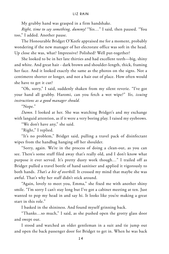My grubby hand was grasped in a firm handshake.

*Right, time to say something, dummy!* "Yes…" I said, then paused. "You too," I added. Another pause.

The Honourable Bridget O'Keefe appraised me for a moment, probably wondering if the new manager of her electorate office was soft in the head. Up close she was, what? Impressive? Polished? Well put-together?

She looked to be in her late thirties and had excellent teeth—big, shiny and white. And great hair - dark brown and shoulder-length, thick, framing her face. And it looked exactly the same as the photos on the signs. Not a centimetre shorter or longer, and not a hair out of place. How often would she have to get it cut?

"Oh, sorry," I said, suddenly shaken from my silent reverie. "I've got your hand all grubby. Haromi, can you fetch a wet wipe?" *Yes, issuing instructions as a good manager should.*

"Nope."

*Damn.* I looked at her. She was watching Bridget's and my exchange with languid attention, as if it were a very boring play. I raised my eyebrows.

"We don't have any," she said.

"Right," I replied.

"It's no problem," Bridget said, pulling a travel pack of disinfectant wipes from the handbag hanging off her shoulder.

"Sorry, again. We're in the process of doing a clean-out, as you can see. There's some stuff filed away that's really old, and I don't know what purpose it ever served. It's pretty dusty work though…" I trailed off as Bridget pulled a travel bottle of hand sanitiser and applied it vigorously to both hands. *That's a bit of overkill.* It crossed my mind that maybe she was awful. That's why her staff didn't stick around.

"Again, lovely to meet you, Emma," she fixed me with another shiny smile. "I'm sorry I can't stay long but I've got a cabinet meeting at ten. Just wanted to pop my head in and say hi. It looks like you're making a great start in this role."

I basked in the shininess. And found myself grinning back.

"Thanks…so much," I said, as she pushed open the grotty glass door and swept out.

I stood and watched an older gentleman in a suit and tie jump out and open the back passenger door for Bridget to get in. When he was back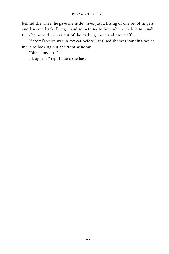behind the wheel he gave me little wave, just a lifting of one set of fingers, and I waved back. Bridget said something to him which made him laugh, then he backed the car out of the parking space and drove off.

Haromi's voice was in my ear before I realised she was standing beside me, also looking out the front window.

"She gone, bro."

I laughed. "Yep, I guess she has."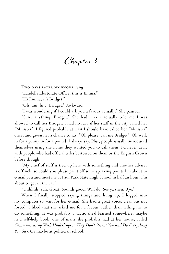**Chapter 3**

TWO DAYS LATER MY PHONE rang.

"Landells Electorate Office, this is Emma."

"Hi Emma, it's Bridget."

"Oh, um, hi… Bridget." Awkward.

"I was wondering if I could ask you a favour actually." She paused.

"Sure, anything, Bridget." She hadn't ever actually told me I was allowed to call her Bridget. I had no idea if her staff in the city called her "Minister". I figured probably at least I should have called her "Minister" once, and given her a chance to say, "Oh please, call me Bridget". Oh well, in for a penny in for a pound, I always say. Plus, people usually introduced themselves using the name they wanted you to call them. I'd never dealt with people who had official titles bestowed on them by the English Crown before though.

"My chief of staff is tied up here with something and another adviser is off sick, so could you please print off some speaking points I'm about to e-mail you and meet me at Paul Park State High School in half an hour? I'm about to get in the car."

"Uhhhhh, yah. Great. Sounds good. Will do. See ya then. Bye."

When I finally stopped saying things and hung up, I logged into my computer to wait for her e-mail. She had a great voice, clear but not forced. I liked that she asked me for a favour, rather than telling me to do something. It was probably a tactic she'd learned somewhere, maybe in a self-help book, one of many she probably had at her house, called *Communicating With Underlings so They Don't Resent You and Do Everything You Say*. Or maybe at politician school.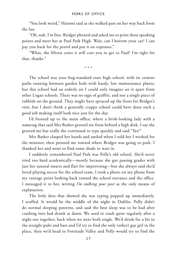"You look weird," Haromi said as she walked past on her way back from the loo.

"Oh, nah. I'm fine. Bridget phoned and asked me to print these speaking points and meet her at Paul Park High. Wait, can I borrow your car? I can pay you back for the petrol and put it on expenses."

"What, the fifteen cents it will cost you to get to Paul? I'm right for that, thanks."

\* \* \*

The school was your bog-standard state high school, with its cement paths running between garden beds with hardy, low maintenance plants; but this school had an orderly air I could only imagine set it apart from other Logan schools. There was no sign of graffiti, and not a single piece of rubbish on the ground. They might have spruced up the front for Bridget's visit, but I don't think a generally crappy school could have done such a good job making itself look nice just for the day.

I'd fronted up to the main office, where a brisk-looking lady with a nametag that said Mrs Barker greeted me from behind a high desk. I say she greeted me but really she continued to type quickly and said "Yes?"

Mrs Barker clasped her hands and smiled when I told her I worked for the minister, then pointed me toward where Bridget was going to park. I thanked her and went to find some shade to wait in.

I suddenly remembered Paul Park was Polly's old school. She'd never tried too hard academically—mostly because she got passing grades with just her natural smarts and flair for improvising—but she always said she'd loved playing soccer for the school team. I took a photo on my phone from my vantage point looking back toward the school entrance and the office. I messaged it to her, writing *I'm stalking your past* as the only means of explanation.

The little dots that showed she was typing popped up immediately. I scoffed. It would be the middle of the night in Dublin. Polly didn't do normal sleeping patterns, and said the best sleep was to be had after crashing into bed drunk at dawn. We used to crash quite regularly after a night out together, back when we were both single. We'd drink for a bit in the straight pubs and bars and I'd try to find the only (other) gay girl in the place, then we'd head to Fortitude Valley and Polly would try to find the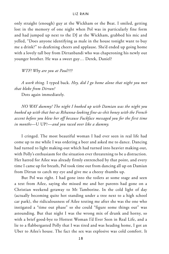only straight (enough) guy at the Wickham or the Beat. I smiled, getting lost in the memory of one night when Pol was in particularly fine form and had jumped up next to the DJ at the Wickham, grabbed his mic and yelled, "Does anyone identifying as male in the house tonight want to buy me a drink?" to deafening cheers and applause. She'd ended up going home with a lovely tall boy from Dirranbandi who was chaperoning his newly out younger brother. He was a sweet guy… Derek, Daniel?

*WTF! Why are you at Paul??!?*

*A work thing.* I typed back. *Hey, did I go home alone that night you met that bloke from Dirran?*

Dots again immediately.

*NO WAY dummy! The night I hooked up with Damian was the night you hooked up with that hot-as Rihanna-looking fine-as-shit honey with the French accent before you blew her off because Fuckface messaged you for the first time in months*—U UP?—*and you raced over like a dummy.*

I cringed. The most beautiful woman I had ever seen in real life had come up to me while I was ordering a beer and asked me to dance. Dancing had turned to light making-out which had turned into heavier making-out, with Polly's enthusiasm for the situation ever threatening to be a distraction. Her hatred for Ailee was already firmly entrenched by that point, and every time I came up for breath, Pol took time out from dancing all up on Damian from Dirran to catch my eye and give me a cheesy thumbs up.

But Pol was right. I had gone into the toilets at some stage and seen a text from Ailee, saying she missed me and her parents had gone on a Christian weekend getaway to Mt Tamborine. In the cold light of day (actually becoming quite hot standing under a tree next to a high school car park), the ridiculousness of Ailee texting me after she was the one who instigated a "time out phase" so she could "figure some things out" was astounding. But that night I was the wrong mix of drunk and horny, so with a brief good-bye to Hottest Woman I'd Ever Seen in Real Life, and a lie to a flabbergasted Polly that I was tired and was heading home, I got an Uber to Ailee's house. The fact the sex was explosive was cold comfort. It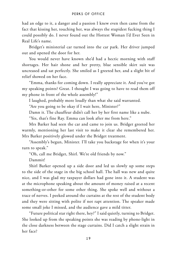had an edge to it, a danger and a passion I knew even then came from the fact that kissing her, touching her, was always the stupidest fucking thing I could possibly do. I never found out the Hottest Woman I'd Ever Seen in Real Life's name.

Bridget's ministerial car turned into the car park. Her driver jumped out and opened the door for her.

You would never have known she'd had a hectic morning with staff shortages. Her hair shone and her pretty, blue sensible skirt suit was uncreased and sat perfectly. She smiled as I greeted her, and a slight bit of relief showed on her face.

"Emma, thanks for coming down. I really appreciate it. And you've got my speaking points? Great. I thought I was going to have to read them off my phone in front of the whole assembly!"

I laughed, probably more loudly than what she said warranted.

"Are you going to be okay if I wait here, Minister?"

Damn it. The chauffeur didn't call her by her first name like a nube.

"Yes, that's fine Ray. Emma can look after me from here."

Mrs Barker had seen the car and came to join us. Bridget greeted her warmly, mentioning her last visit to make it clear she remembered her. Mrs Barker positively glowed under the Bridget treatment.

"Assembly's begun, Minister. I'll take you backstage for when it's your turn to speak."

"Oh, call me Bridget, Shirl. We're old friends by now."

Dammit!

Shirl Barker opened up a side door and led us slowly up some steps to the side of the stage in the big school hall. The hall was new and quite nice, and I was glad my taxpayer dollars had gone into it. A student was at the microphone speaking about the amount of money raised at a recent something-or-other for some other thing. She spoke well and without a trace of nerves. I peeked around the curtains at the rest of the student body and they were sitting with polite if not rapt attention. The speaker made some small joke I missed, and the audience gave a mild titter.

"Future political star right there, hey?" I said quietly, turning to Bridget. She looked up from the speaking points she was reading by phone-light in the close darkness between the stage curtains. Did I catch a slight strain in her face?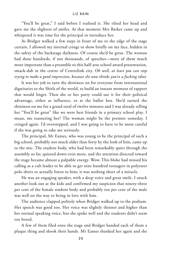"You'll be great," I said before I realised it. She tilted her head and gave me the slightest of smiles. At that moment Mrs Barker came up and whispered it was time for the principal to introduce her.

As Bridget walked a few steps in front of me to the edge of the stage curtain, I allowed my internal cringe to show briefly on my face, hidden in the safety of the backstage darkness. Of course she'd be great. The woman had done hundreds, if not thousands, of speeches—most of them much more important than a preamble to this half-arse school award presentation, smack-dab in the centre of Centrelink city. *Oh well, at least you can stop trying to make a good impression, because she now thinks you're a fucking idiot.*

It was her job to turn the shininess on for everyone from international dignitaries to the Shirls of the world, to build an instant moment of rapport that would linger. Then she or her party could use it for their political advantage, either as influence, or at the ballot box. She'd turned the shininess on me for a grand total of twelve minutes and I was already telling her "You'll be great" like we were best friends in a primary school play. I mean, me reassuring her? The woman might be the premier someday. I cringed again. I'd overstepped, and I was going to have to be more careful if she was going to take me seriously.

The principal, Mr Eames, who was young to be the principal of such a big school, probably not much older than forty by the look of him, came up to the mic. The student body, who had been remarkably quiet through the assembly so far, quieted down even more, and the attention directed toward the stage became almost a palpable energy. Wow. This bloke had missed his calling as a cult leader to be able to get nine hundred teenagers in polyester polo shirts to actually listen to him; it was nothing short of a miracle.

He was an engaging speaker, with a deep voice and great smile. I snuck another look out at the kids and confirmed my suspicion that ninety-three per cent of the female student body and probably ten per cent of the male was well on the way to being in love with him.

The audience clapped politely when Bridget walked up to the podium. Her speech was good too. Her voice was slightly thinner and higher than her normal speaking voice, but she spoke well and the students didn't seem too bored.

A few of them filed onto the stage and Bridget handed each of them a plaque thing and shook their hands. Mr Eames thanked her again and she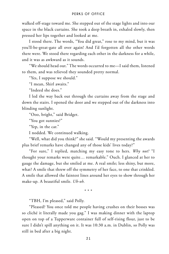walked off-stage toward me. She stepped out of the stage lights and into our space in the black curtains. She took a deep breath in, exhaled slowly, then pressed her lips together and looked at me.

I stood there. The words, "You did great," rose to my mind, but it was you'll-be-great-gate all over again! And I'd forgotten all the other words there were. We stood there regarding each other in the darkness for a while, and it was as awkward as it sounds.

"We should head out." The words occurred to me—I said them, listened to them, and was relieved they sounded pretty normal.

"Yes, I suppose we should."

"I mean, Shirl awaits."

"Indeed she does."

I led the way back out through the curtains away from the stage and down the stairs. I opened the door and we stepped out of the darkness into blinding sunlight.

"Ooo, bright," said Bridget.

"You got sunnies?"

"Yep, in the car."

I nodded. We continued walking.

"Well, what did you think?" she said. "Would my presenting the awards plus brief remarks have changed any of those kids' lives today?"

"For sure," I replied, matching my easy tone to hers. *Why not?* "I thought your remarks were quite… remarkable." Ouch. I glanced at her to gauge the damage, but she smiled at me. A real smile; less shiny, but more, what? A smile that threw off the symmetry of her face, to one that crinkled. A smile that allowed the faintest lines around her eyes to show through her make-up. A beautiful smile. *Uh-oh.*

\* \* \*

"TBH, I'm pleased," said Polly.

"Pleased? You once told me people having crushes on their bosses was so cliché it literally made you gag." I was making dinner with the laptop open on top of a Tupperware container full of self-rising flour, just to be sure I didn't spill anything on it. It was 10:30 a.m. in Dublin, so Polly was still in bed after a big night.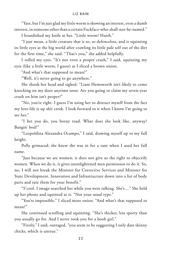"Yass, but I'm just glad my little worm is showing an interest, even a dumb interest, in someone other than a certain Fuckface-who-shall-not-be-named."

I brandished my knife at her. "Little worm? Harsh."

"I just mean, a little creature that is so, so defenceless, and is squinting its little eyes at the big world after crawling its little pale self out of the dirt for the first time," she said. "That's you," she added helpfully.

I rolled my eyes. "It's not even a proper crush," I said, squinting my eyes (like a little worm, I guess) as I sliced a brown onion.

"And what's that supposed to mean?"

"Well, it's never going to go anywhere."

She shook her head and sighed. "Liam Hemsworth isn't likely to come knocking on my door anytime soon. Are you going to claim my seven-year crush on him isn't proper?"

"No, you're right. I guess I'm using her to distract myself from the fact my love-life is up shit creek. I look forward to it when I know I'm going to see her."

"I bet you do, you horny toad. What does she look like, anyway? Bangin' bod?"

"Leopoldina Alexandra Ocampo," I said, drawing myself up to my full height.

Polly grimaced; she knew she was in for a rant when I used her full name.

"Just because we are women, it does not give us the right to objectify women. When we do it, it gives unenlightened men permission to do it. So, no, I will not break the Minister for Corrective Services and Minister for State Development, Innovation and Infrastructure down into a list of body parts and rate them for your benefit."

"S'cool. I image-searched her while you were talking. She's…" She held up her phone and squinted at it. "Not your usual type."

"You're impossible." I sliced more onion. "And what's that supposed to mean?"

She continued scrolling and squinting. "She's thicker, less sporty than you usually go for. And I never took you for a boob girl."

"Firstly," I said, outraged, "you seem to be suggesting I only date skinny chicks, which is untrue."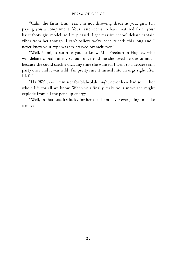"Calm the farm, Em. Jeez. I'm not throwing shade at you, girl. I'm paying you a compliment. Your taste seems to have matured from your basic footy girl model, so I'm pleased. I get massive school debate captain vibes from her though. I can't believe we've been friends this long and I never knew your type was sex-starved overachiever."

"Well, it might surprise you to know Mia Freeburton-Hughes, who was debate captain at my school, once told me she loved debate so much because she could catch a dick any time she wanted. I went to a debate team party once and it was wild. I'm pretty sure it turned into an orgy right after I left."

"Ha! Well, your minister for blah-blah might never have had sex in her whole life for all we know. When you finally make your move she might explode from all the pent-up energy."

"Well, in that case it's lucky for her that I am never ever going to make a move."